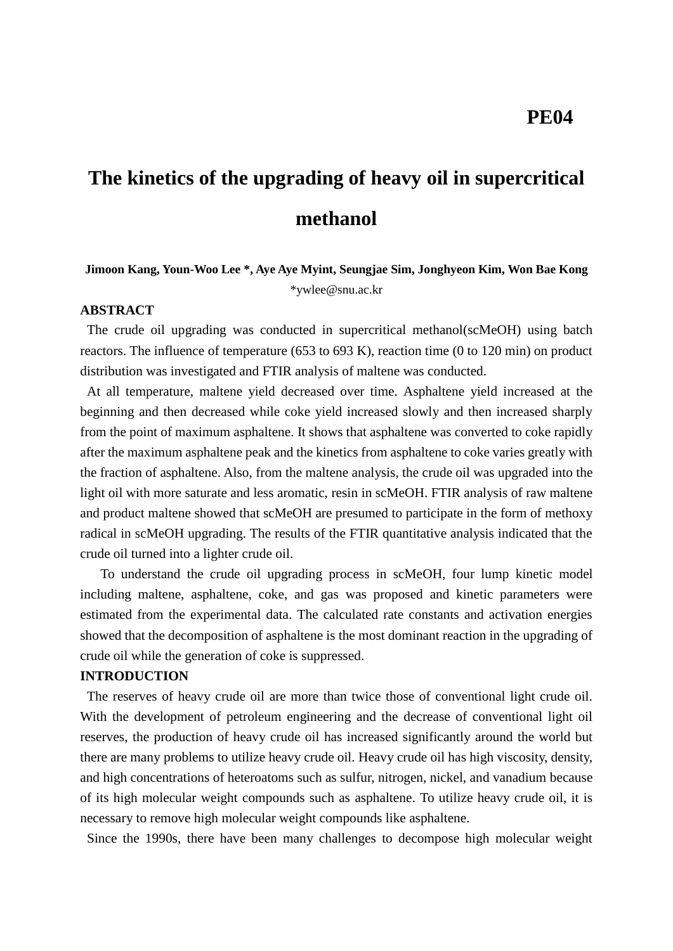# **The kinetics of the upgrading of heavy oil in supercritical methanol**

## **Jimoon Kang, Youn-Woo Lee \*, Aye Aye Myint, Seungjae Sim, Jonghyeon Kim, Won Bae Kong** \*ywlee@snu.ac.kr

#### **ABSTRACT**

The crude oil upgrading was conducted in supercritical methanol(scMeOH) using batch reactors. The influence of temperature (653 to 693 K), reaction time (0 to 120 min) on product distribution was investigated and FTIR analysis of maltene was conducted.

At all temperature, maltene yield decreased over time. Asphaltene yield increased at the beginning and then decreased while coke yield increased slowly and then increased sharply from the point of maximum asphaltene. It shows that asphaltene was converted to coke rapidly after the maximum asphaltene peak and the kinetics from asphaltene to coke varies greatly with the fraction of asphaltene. Also, from the maltene analysis, the crude oil was upgraded into the light oil with more saturate and less aromatic, resin in scMeOH. FTIR analysis of raw maltene and product maltene showed that scMeOH are presumed to participate in the form of methoxy radical in scMeOH upgrading. The results of the FTIR quantitative analysis indicated that the crude oil turned into a lighter crude oil.

 To understand the crude oil upgrading process in scMeOH, four lump kinetic model including maltene, asphaltene, coke, and gas was proposed and kinetic parameters were estimated from the experimental data. The calculated rate constants and activation energies showed that the decomposition of asphaltene is the most dominant reaction in the upgrading of crude oil while the generation of coke is suppressed.

#### **INTRODUCTION**

The reserves of heavy crude oil are more than twice those of conventional light crude oil. With the development of petroleum engineering and the decrease of conventional light oil reserves, the production of heavy crude oil has increased significantly around the world but there are many problems to utilize heavy crude oil. Heavy crude oil has high viscosity, density, and high concentrations of heteroatoms such as sulfur, nitrogen, nickel, and vanadium because of its high molecular weight compounds such as asphaltene. To utilize heavy crude oil, it is necessary to remove high molecular weight compounds like asphaltene.

Since the 1990s, there have been many challenges to decompose high molecular weight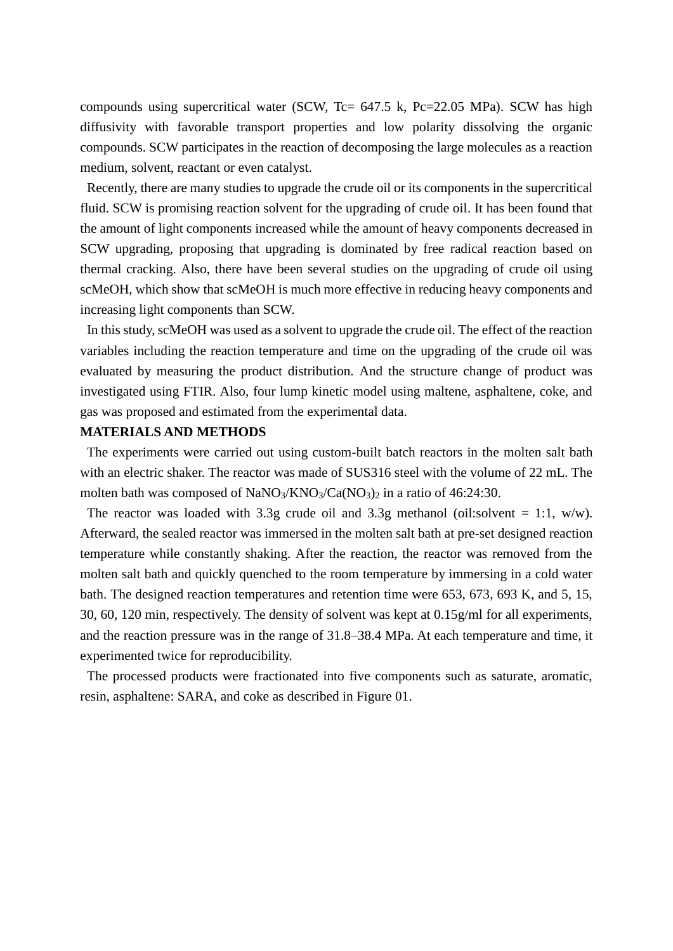compounds using supercritical water (SCW, Tc= 647.5 k, Pc=22.05 MPa). SCW has high diffusivity with favorable transport properties and low polarity dissolving the organic compounds. SCW participates in the reaction of decomposing the large molecules as a reaction medium, solvent, reactant or even catalyst.

Recently, there are many studies to upgrade the crude oil or its components in the supercritical fluid. SCW is promising reaction solvent for the upgrading of crude oil. It has been found that the amount of light components increased while the amount of heavy components decreased in SCW upgrading, proposing that upgrading is dominated by free radical reaction based on thermal cracking. Also, there have been several studies on the upgrading of crude oil using scMeOH, which show that scMeOH is much more effective in reducing heavy components and increasing light components than SCW.

In this study, scMeOH was used as a solvent to upgrade the crude oil. The effect of the reaction variables including the reaction temperature and time on the upgrading of the crude oil was evaluated by measuring the product distribution. And the structure change of product was investigated using FTIR. Also, four lump kinetic model using maltene, asphaltene, coke, and gas was proposed and estimated from the experimental data.

#### **MATERIALS AND METHODS**

The experiments were carried out using custom-built batch reactors in the molten salt bath with an electric shaker. The reactor was made of SUS316 steel with the volume of 22 mL. The molten bath was composed of NaNO<sub>3</sub>/KNO<sub>3</sub>/Ca(NO<sub>3</sub>)<sub>2</sub> in a ratio of 46:24:30.

The reactor was loaded with 3.3g crude oil and 3.3g methanol (oil:solvent = 1:1, w/w). Afterward, the sealed reactor was immersed in the molten salt bath at pre-set designed reaction temperature while constantly shaking. After the reaction, the reactor was removed from the molten salt bath and quickly quenched to the room temperature by immersing in a cold water bath. The designed reaction temperatures and retention time were 653, 673, 693 K, and 5, 15, 30, 60, 120 min, respectively. The density of solvent was kept at 0.15g/ml for all experiments, and the reaction pressure was in the range of 31.8–38.4 MPa. At each temperature and time, it experimented twice for reproducibility.

The processed products were fractionated into five components such as saturate, aromatic, resin, asphaltene: SARA, and coke as described in Figure 01.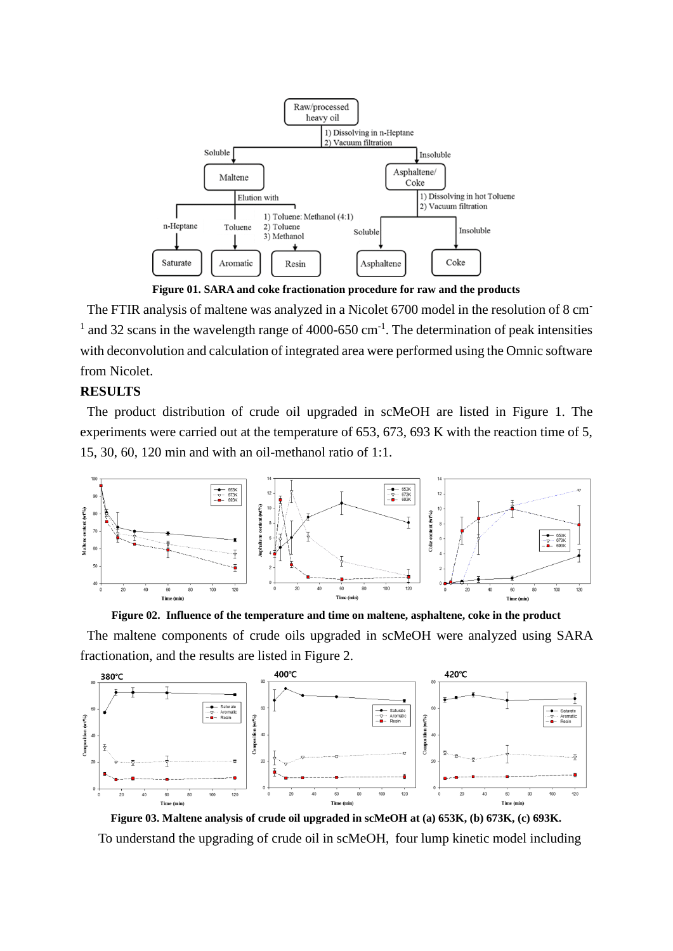

**Figure 01. SARA and coke fractionation procedure for raw and the products**

The FTIR analysis of maltene was analyzed in a Nicolet 6700 model in the resolution of 8 cm-<sup>1</sup> and 32 scans in the wavelength range of 4000-650 cm<sup>-1</sup>. The determination of peak intensities with deconvolution and calculation of integrated area were performed using the Omnic software from Nicolet.

### **RESULTS**

The product distribution of crude oil upgraded in scMeOH are listed in Figure 1. The experiments were carried out at the temperature of 653, 673, 693 K with the reaction time of 5, 15, 30, 60, 120 min and with an oil-methanol ratio of 1:1.



**Figure 02. Influence of the temperature and time on maltene, asphaltene, coke in the product**

The maltene components of crude oils upgraded in scMeOH were analyzed using SARA fractionation, and the results are listed in Figure 2.



**Figure 03. Maltene analysis of crude oil upgraded in scMeOH at (a) 653K, (b) 673K, (c) 693K.** To understand the upgrading of crude oil in scMeOH, four lump kinetic model including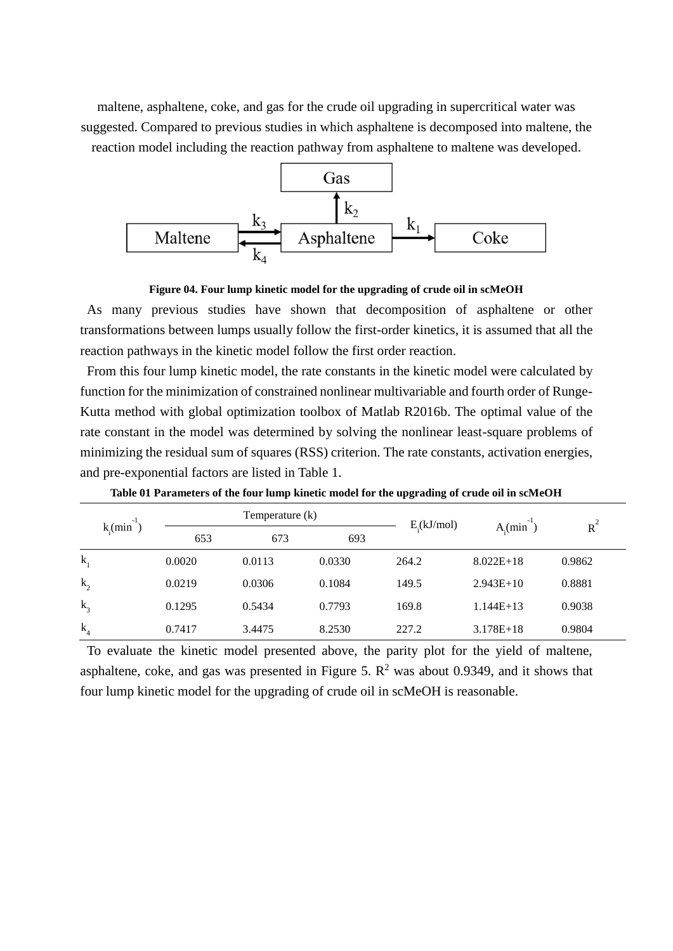maltene, asphaltene, coke, and gas for the crude oil upgrading in supercritical water was suggested. Compared to previous studies in which asphaltene is decomposed into maltene, the reaction model including the reaction pathway from asphaltene to maltene was developed.



**Figure 04. Four lump kinetic model for the upgrading of crude oil in scMeOH**

As many previous studies have shown that decomposition of asphaltene or other transformations between lumps usually follow the first-order kinetics, it is assumed that all the reaction pathways in the kinetic model follow the first order reaction.

From this four lump kinetic model, the rate constants in the kinetic model were calculated by function for the minimization of constrained nonlinear multivariable and fourth order of Runge-Kutta method with global optimization toolbox of Matlab R2016b. The optimal value of the rate constant in the model was determined by solving the nonlinear least-square problems of minimizing the residual sum of squares (RSS) criterion. The rate constants, activation energies, and pre-exponential factors are listed in Table 1.

| $k_{\cdot}$ (min <sup>-1</sup> ) | Temperature (k) |        |        | E(kJ/mol) | $A$ (min    |        |
|----------------------------------|-----------------|--------|--------|-----------|-------------|--------|
|                                  | 653             | 673    | 693    |           |             | $R^2$  |
| $k_{1}$                          | 0.0020          | 0.0113 | 0.0330 | 264.2     | $8.022E+18$ | 0.9862 |
| $k_{2}$                          | 0.0219          | 0.0306 | 0.1084 | 149.5     | $2.943E+10$ | 0.8881 |
| $k_{3}$                          | 0.1295          | 0.5434 | 0.7793 | 169.8     | $1.144E+13$ | 0.9038 |
| $k_{4}$                          | 0.7417          | 3.4475 | 8.2530 | 227.2     | $3.178E+18$ | 0.9804 |

**Table 01 Parameters of the four lump kinetic model for the upgrading of crude oil in scMeOH**

To evaluate the kinetic model presented above, the parity plot for the yield of maltene, asphaltene, coke, and gas was presented in Figure 5.  $\mathbb{R}^2$  was about 0.9349, and it shows that four lump kinetic model for the upgrading of crude oil in scMeOH is reasonable.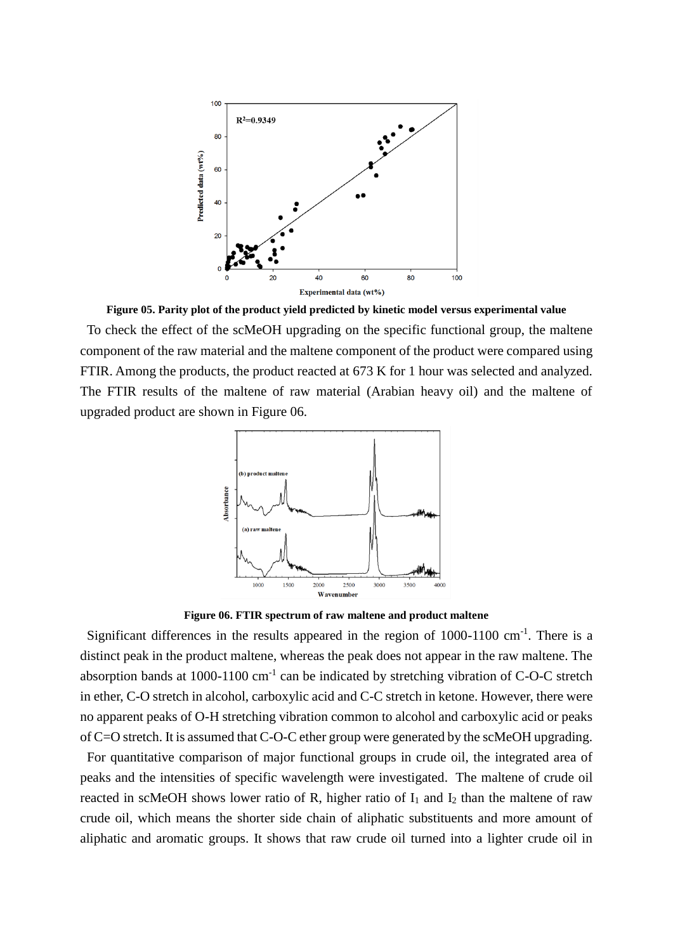

**Figure 05. Parity plot of the product yield predicted by kinetic model versus experimental value** To check the effect of the scMeOH upgrading on the specific functional group, the maltene component of the raw material and the maltene component of the product were compared using FTIR. Among the products, the product reacted at 673 K for 1 hour was selected and analyzed. The FTIR results of the maltene of raw material (Arabian heavy oil) and the maltene of upgraded product are shown in Figure 06.



**Figure 06. FTIR spectrum of raw maltene and product maltene**

Significant differences in the results appeared in the region of  $1000-1100$  cm<sup>-1</sup>. There is a distinct peak in the product maltene, whereas the peak does not appear in the raw maltene. The absorption bands at  $1000-1100$  cm<sup>-1</sup> can be indicated by stretching vibration of C-O-C stretch in ether, C-O stretch in alcohol, carboxylic acid and C-C stretch in ketone. However, there were no apparent peaks of O-H stretching vibration common to alcohol and carboxylic acid or peaks of C=O stretch. It is assumed that C-O-C ether group were generated by the scMeOH upgrading.

For quantitative comparison of major functional groups in crude oil, the integrated area of peaks and the intensities of specific wavelength were investigated. The maltene of crude oil reacted in scMeOH shows lower ratio of R, higher ratio of  $I_1$  and  $I_2$  than the maltene of raw crude oil, which means the shorter side chain of aliphatic substituents and more amount of aliphatic and aromatic groups. It shows that raw crude oil turned into a lighter crude oil in